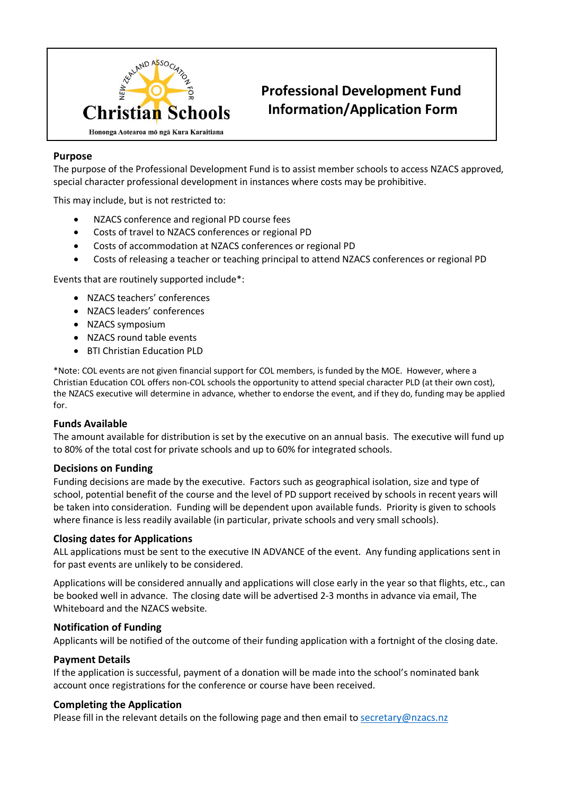

# **Professional Development Fund Information/Application Form**

**Purpose**

The purpose of the Professional Development Fund is to assist member schools to access NZACS approved, special character professional development in instances where costs may be prohibitive.

This may include, but is not restricted to:

- NZACS conference and regional PD course fees
- Costs of travel to NZACS conferences or regional PD
- Costs of accommodation at NZACS conferences or regional PD
- Costs of releasing a teacher or teaching principal to attend NZACS conferences or regional PD

Events that are routinely supported include\*:

- NZACS teachers' conferences
- NZACS leaders' conferences
- NZACS symposium
- NZACS round table events
- BTI Christian Education PLD

\*Note: COL events are not given financial support for COL members, is funded by the MOE. However, where a Christian Education COL offers non-COL schools the opportunity to attend special character PLD (at their own cost), the NZACS executive will determine in advance, whether to endorse the event, and if they do, funding may be applied for.

#### **Funds Available**

The amount available for distribution is set by the executive on an annual basis. The executive will fund up to 80% of the total cost for private schools and up to 60% for integrated schools.

#### **Decisions on Funding**

Funding decisions are made by the executive. Factors such as geographical isolation, size and type of school, potential benefit of the course and the level of PD support received by schools in recent years will be taken into consideration. Funding will be dependent upon available funds. Priority is given to schools where finance is less readily available (in particular, private schools and very small schools).

#### **Closing dates for Applications**

ALL applications must be sent to the executive IN ADVANCE of the event. Any funding applications sent in for past events are unlikely to be considered.

Applications will be considered annually and applications will close early in the year so that flights, etc., can be booked well in advance. The closing date will be advertised 2-3 months in advance via email, The Whiteboard and the NZACS website.

#### **Notification of Funding**

Applicants will be notified of the outcome of their funding application with a fortnight of the closing date.

## **Payment Details**

If the application is successful, payment of a donation will be made into the school's nominated bank account once registrations for the conference or course have been received.

## **Completing the Application**

Please fill in the relevant details on the following page and then email to [secretary@nzacs.nz](mailto:secretary@nzacs.nz)